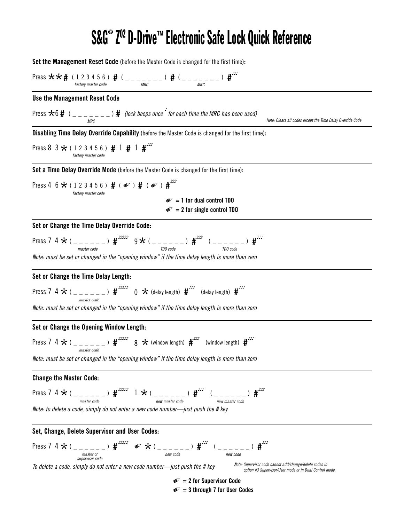## S&G® Z<sup>o2</sup> D-Drive™ Electronic Safe Lock Quick Reference

**Set the Management Reset Code** (before the Master Code is changed for the first time)**:**

Press  $\star \star \sharp$  ( 1 2 3 4 5 6 )  $\sharp$  ( \_ \_ \_ <sub>*m*RC</sub> \_ \_ \_ )</sub>  $\sharp$  ( \_ \_ \_ <sub>*mRC*</sub> \_ \_ \_ )  $\sharp$ <sup>555</sup> **Use the Management Reset Code** Press  $\star$ 6 **#** ( \_ \_ \_ \_ \_ \_ ) **#** (lock beeps once  $\frac{1}{2}$  for each time the MRC has been used) **Set or Change the Time Delay Override Code:** Press 7 4  $\star$  ( \_ \_ \_ \_ \_ ) #<sup>2000</sup> 9  $\star$  ( \_ \_ \_ \_ \_ ) #<sup>200</sup>  $($  \_ \_ \_ \_ \_ ) #<sup>200</sup> *Note: must be set or changed in the "opening window" if the time delay length is more than zero* **Set or Change the Time Delay Length:** Press 7 4 \*( \_ \_ \_ \_ \_ \_ ) **#** ♪♪♪♪♪ <sup>0</sup> \*(delay length) **#** ♪♪♪ (delay length) **#** ♪♪♪ *Note: must be set or changed in the "opening window" if the time delay length is more than zero* **Set or Change the Opening Window Length:** Press 7 4  $\star$  ( \_ \_ \_ \_ \_ \_ )  $\sharp$ <sup>2000</sup> 8  $\star$  (window length)  $\sharp$ <sup>200</sup> (window length)  $\sharp$ <sup>200</sup> *Note: must be set or changed in the "opening window" if the time delay length is more than zero* **Change the Master Code:**  $Press 7 4 * ( ) _{\frac{max}{master code}} 1 * ( ) \longrightarrow _{\frac{new \space mass for code}{new \space mass for code}} 1 * ( ) _{\frac{new \space mass for code}{new \space mass for code}} 1 * ( )$ *Note: to delete a code, simply do not enter a new code number—just push the # key* **Set, Change, Delete Supervisor and User Codes:** Press 7 4  $\star$  ( \_ \_ \_ \_ \_ )  $\sharp$ <sup>2000</sup>  $\star$  ( \_ \_ \_ \_ \_ )  $\sharp$ <sup>200</sup>  $($  \_ \_ \_ \_ )  $\sharp$ <sup>200</sup> *To delete a code, simply do not enter a new code number—just push the # key factory master code MRC MRC MRC* **Set a Time Delay Override Mode** (before the Master Code is changed for the first time)**:** Press 4 6  $\star$  ( 1 2 3 4 5 6 )  $\#$  (  $\bullet$  )  $\#$  (  $\bullet$  )  $\#$ <sup>555</sup>  $\mathcal{D} = 1$  for dual control TDO  $\mathcal{D} = 2$  for single control TDO *factory master code* **Disabling Time Delay Override Capability** (before the Master Code is changed for the first time)**:** Press 8  $3 \star (1 2 3 4 5 6)$  **#** 1 **#**  $1 \cdot 1^{\text{SDP}}$ *factory master code master code TDO code TDO code master code master code master or supervisor code new code new code master code new master code new master code Note: Clears all codes except the Time Delay Override Code Note: Supervisor code cannot add/change/delete codes in option #3 Supervisor/User mode or in Dual Control mode.*

> 0 **= 2 for Supervisor Code** 0 **= 3 through 7 for User Codes**